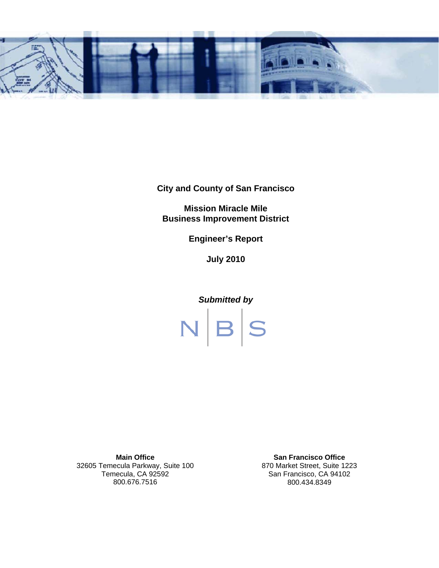

**City and County of San Francisco** 

**Mission Miracle Mile Business Improvement District** 

**Engineer's Report** 

**July 2010** 



**Main Office**  32605 Temecula Parkway, Suite 100 Temecula, CA 92592 800.676.7516

**San Francisco Office**  870 Market Street, Suite 1223 San Francisco, CA 94102 800.434.8349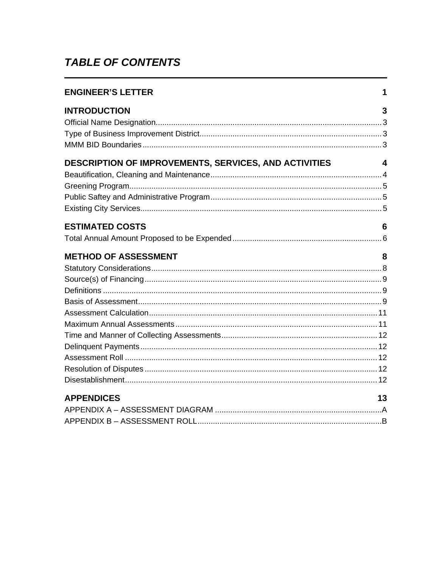# **TABLE OF CONTENTS**

| <b>ENGINEER'S LETTER</b>                              | 1  |
|-------------------------------------------------------|----|
| <b>INTRODUCTION</b>                                   | 3  |
| DESCRIPTION OF IMPROVEMENTS, SERVICES, AND ACTIVITIES | 4  |
| <b>ESTIMATED COSTS</b>                                | 6  |
| <b>METHOD OF ASSESSMENT</b>                           | 8  |
| <b>APPENDICES</b>                                     | 13 |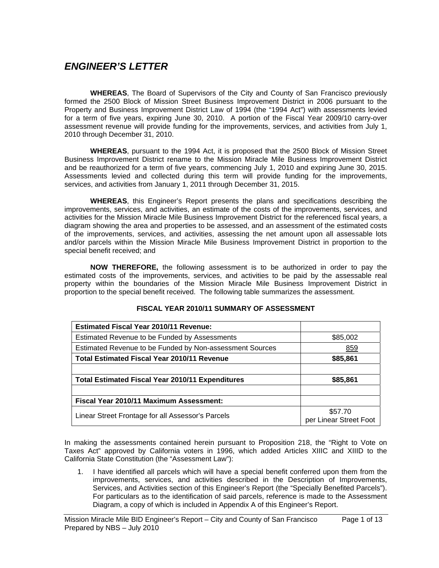## *ENGINEER'S LETTER*

**WHEREAS**, The Board of Supervisors of the City and County of San Francisco previously formed the 2500 Block of Mission Street Business Improvement District in 2006 pursuant to the Property and Business Improvement District Law of 1994 (the "1994 Act") with assessments levied for a term of five years, expiring June 30, 2010. A portion of the Fiscal Year 2009/10 carry-over assessment revenue will provide funding for the improvements, services, and activities from July 1, 2010 through December 31, 2010.

**WHEREAS**, pursuant to the 1994 Act, it is proposed that the 2500 Block of Mission Street Business Improvement District rename to the Mission Miracle Mile Business Improvement District and be reauthorized for a term of five years, commencing July 1, 2010 and expiring June 30, 2015. Assessments levied and collected during this term will provide funding for the improvements, services, and activities from January 1, 2011 through December 31, 2015.

 **WHEREAS**, this Engineer's Report presents the plans and specifications describing the improvements, services, and activities, an estimate of the costs of the improvements, services, and activities for the Mission Miracle Mile Business Improvement District for the referenced fiscal years, a diagram showing the area and properties to be assessed, and an assessment of the estimated costs of the improvements, services, and activities, assessing the net amount upon all assessable lots and/or parcels within the Mission Miracle Mile Business Improvement District in proportion to the special benefit received; and

 **NOW THEREFORE,** the following assessment is to be authorized in order to pay the estimated costs of the improvements, services, and activities to be paid by the assessable real property within the boundaries of the Mission Miracle Mile Business Improvement District in proportion to the special benefit received. The following table summarizes the assessment.

| <b>Estimated Fiscal Year 2010/11 Revenue:</b>            |                                   |
|----------------------------------------------------------|-----------------------------------|
| Estimated Revenue to be Funded by Assessments            | \$85,002                          |
| Estimated Revenue to be Funded by Non-assessment Sources | <u>859</u>                        |
| <b>Total Estimated Fiscal Year 2010/11 Revenue</b>       | \$85,861                          |
|                                                          |                                   |
| <b>Total Estimated Fiscal Year 2010/11 Expenditures</b>  | \$85,861                          |
|                                                          |                                   |
| Fiscal Year 2010/11 Maximum Assessment:                  |                                   |
| Linear Street Frontage for all Assessor's Parcels        | \$57.70<br>per Linear Street Foot |

#### **FISCAL YEAR 2010/11 SUMMARY OF ASSESSMENT**

In making the assessments contained herein pursuant to Proposition 218, the "Right to Vote on Taxes Act" approved by California voters in 1996, which added Articles XIIIC and XIIID to the California State Constitution (the "Assessment Law"):

1. I have identified all parcels which will have a special benefit conferred upon them from the improvements, services, and activities described in the Description of Improvements, Services, and Activities section of this Engineer's Report (the "Specially Benefited Parcels"). For particulars as to the identification of said parcels, reference is made to the Assessment Diagram, a copy of which is included in Appendix A of this Engineer's Report.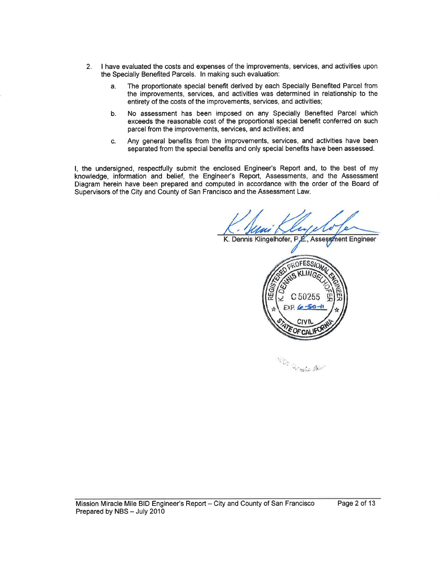- 2. I have evaluated the costs and expenses of the improvements, services, and activities upon the Specially Benefited Parcels. ln making such evaluation:
	- a. The proportionate special benefit derived by each Specially Benefited Parcel from the improvements, services, and activities was determined in relationship to the entirety of the costs of the improvements, services, and activities;
	- b. No assessment has been imposed on any Specially Benefited Parcel which exceeds the reasonable cost of the proportional special benefit conferred on such parcel from the improvements, services, and activities; and
	- c. Any general benefits from the improvements, services, and activities have been separated from the special benefits and only special benefits have been assessed.

l, the undersigned, respectfully submit the enclosed Engineer's Report and, to the best of my knowledge, information and belief, the Engineer's Report, Assessments, and the Assessment Diagram herein have been prepared and computed in accordance with the order of the Board of Supervisors of the City and County of San Francisco and the Assessment Law.

K. Dennis Klingelhofer, P.E., Assessment Engineer



t''' l'aat ''' l'aat ''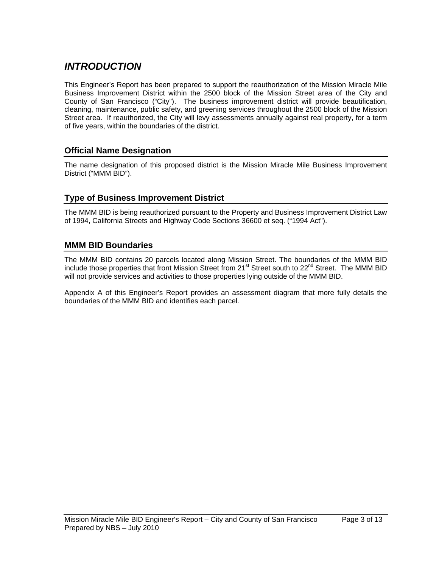# *INTRODUCTION*

This Engineer's Report has been prepared to support the reauthorization of the Mission Miracle Mile Business Improvement District within the 2500 block of the Mission Street area of the City and County of San Francisco ("City"). The business improvement district will provide beautification, cleaning, maintenance, public safety, and greening services throughout the 2500 block of the Mission Street area. If reauthorized, the City will levy assessments annually against real property, for a term of five years, within the boundaries of the district.

## **Official Name Designation**

The name designation of this proposed district is the Mission Miracle Mile Business Improvement District ("MMM BID").

## **Type of Business Improvement District**

The MMM BID is being reauthorized pursuant to the Property and Business Improvement District Law of 1994, California Streets and Highway Code Sections 36600 et seq. ("1994 Act").

### **MMM BID Boundaries**

The MMM BID contains 20 parcels located along Mission Street. The boundaries of the MMM BID include those properties that front Mission Street from 21<sup>st</sup> Street south to 22<sup>nd</sup> Street. The MMM BID will not provide services and activities to those properties lying outside of the MMM BID.

Appendix A of this Engineer's Report provides an assessment diagram that more fully details the boundaries of the MMM BID and identifies each parcel.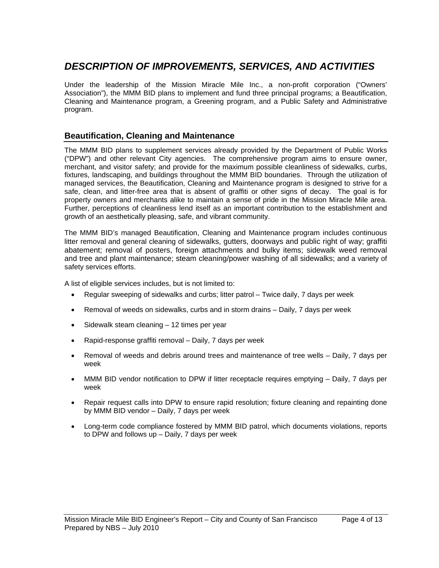# *DESCRIPTION OF IMPROVEMENTS, SERVICES, AND ACTIVITIES*

Under the leadership of the Mission Miracle Mile Inc., a non-profit corporation ("Owners' Association"), the MMM BID plans to implement and fund three principal programs; a Beautification, Cleaning and Maintenance program, a Greening program, and a Public Safety and Administrative program.

## **Beautification, Cleaning and Maintenance**

The MMM BID plans to supplement services already provided by the Department of Public Works ("DPW") and other relevant City agencies. The comprehensive program aims to ensure owner, merchant, and visitor safety; and provide for the maximum possible cleanliness of sidewalks, curbs, fixtures, landscaping, and buildings throughout the MMM BID boundaries. Through the utilization of managed services, the Beautification, Cleaning and Maintenance program is designed to strive for a safe, clean, and litter-free area that is absent of graffiti or other signs of decay. The goal is for property owners and merchants alike to maintain a sense of pride in the Mission Miracle Mile area. Further, perceptions of cleanliness lend itself as an important contribution to the establishment and growth of an aesthetically pleasing, safe, and vibrant community.

The MMM BID's managed Beautification, Cleaning and Maintenance program includes continuous litter removal and general cleaning of sidewalks, gutters, doorways and public right of way; graffiti abatement; removal of posters, foreign attachments and bulky items; sidewalk weed removal and tree and plant maintenance; steam cleaning/power washing of all sidewalks; and a variety of safety services efforts.

A list of eligible services includes, but is not limited to:

- Regular sweeping of sidewalks and curbs; litter patrol Twice daily, 7 days per week
- Removal of weeds on sidewalks, curbs and in storm drains Daily, 7 days per week
- $\bullet$  Sidewalk steam cleaning  $-12$  times per year
- Rapid-response graffiti removal Daily, 7 days per week
- Removal of weeds and debris around trees and maintenance of tree wells Daily, 7 days per week
- MMM BID vendor notification to DPW if litter receptacle requires emptying Daily, 7 days per week
- Repair request calls into DPW to ensure rapid resolution; fixture cleaning and repainting done by MMM BID vendor – Daily, 7 days per week
- Long-term code compliance fostered by MMM BID patrol, which documents violations, reports to DPW and follows up – Daily, 7 days per week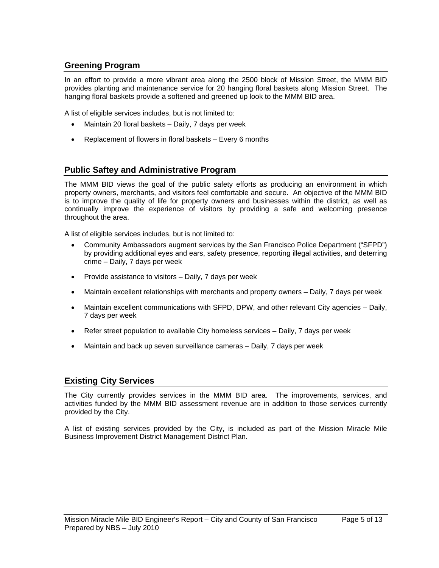## **Greening Program**

In an effort to provide a more vibrant area along the 2500 block of Mission Street, the MMM BID provides planting and maintenance service for 20 hanging floral baskets along Mission Street. The hanging floral baskets provide a softened and greened up look to the MMM BID area.

A list of eligible services includes, but is not limited to:

- Maintain 20 floral baskets Daily, 7 days per week
- Replacement of flowers in floral baskets Every 6 months

### **Public Saftey and Administrative Program**

The MMM BID views the goal of the public safety efforts as producing an environment in which property owners, merchants, and visitors feel comfortable and secure. An objective of the MMM BID is to improve the quality of life for property owners and businesses within the district, as well as continually improve the experience of visitors by providing a safe and welcoming presence throughout the area.

A list of eligible services includes, but is not limited to:

- Community Ambassadors augment services by the San Francisco Police Department ("SFPD") by providing additional eyes and ears, safety presence, reporting illegal activities, and deterring crime – Daily, 7 days per week
- Provide assistance to visitors Daily, 7 days per week
- Maintain excellent relationships with merchants and property owners Daily, 7 days per week
- Maintain excellent communications with SFPD, DPW, and other relevant City agencies Daily, 7 days per week
- Refer street population to available City homeless services Daily, 7 days per week
- Maintain and back up seven surveillance cameras Daily, 7 days per week

## **Existing City Services**

The City currently provides services in the MMM BID area. The improvements, services, and activities funded by the MMM BID assessment revenue are in addition to those services currently provided by the City.

A list of existing services provided by the City, is included as part of the Mission Miracle Mile Business Improvement District Management District Plan.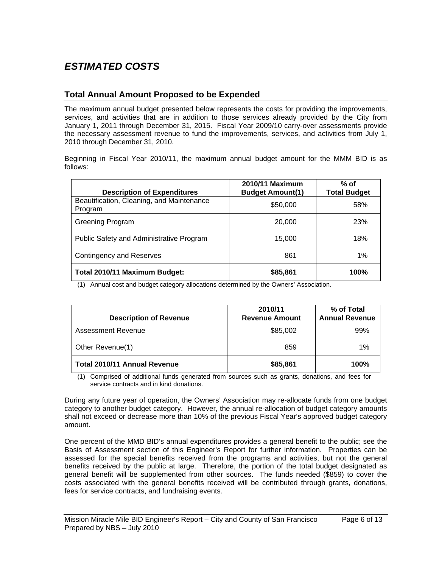# *ESTIMATED COSTS*

## **Total Annual Amount Proposed to be Expended**

The maximum annual budget presented below represents the costs for providing the improvements, services, and activities that are in addition to those services already provided by the City from January 1, 2011 through December 31, 2015. Fiscal Year 2009/10 carry-over assessments provide the necessary assessment revenue to fund the improvements, services, and activities from July 1, 2010 through December 31, 2010.

Beginning in Fiscal Year 2010/11, the maximum annual budget amount for the MMM BID is as follows:

| <b>Description of Expenditures</b>                   | 2010/11 Maximum<br><b>Budget Amount(1)</b> | $%$ of<br><b>Total Budget</b> |
|------------------------------------------------------|--------------------------------------------|-------------------------------|
| Beautification, Cleaning, and Maintenance<br>Program | \$50,000                                   | 58%                           |
| <b>Greening Program</b>                              | 20,000                                     | 23%                           |
| Public Safety and Administrative Program             | 15,000                                     | 18%                           |
| <b>Contingency and Reserves</b>                      | 861                                        | 1%                            |
| Total 2010/11 Maximum Budget:                        | \$85,861                                   | 100%                          |

(1) Annual cost and budget category allocations determined by the Owners' Association.

| <b>Description of Revenue</b>       | 2010/11<br><b>Revenue Amount</b> | % of Total<br><b>Annual Revenue</b> |
|-------------------------------------|----------------------------------|-------------------------------------|
| Assessment Revenue                  | \$85,002                         | 99%                                 |
| Other Revenue(1)                    | 859                              | $1\%$                               |
| <b>Total 2010/11 Annual Revenue</b> | \$85,861                         | <b>100%</b>                         |

(1) Comprised of additional funds generated from sources such as grants, donations, and fees for service contracts and in kind donations.

During any future year of operation, the Owners' Association may re-allocate funds from one budget category to another budget category. However, the annual re-allocation of budget category amounts shall not exceed or decrease more than 10% of the previous Fiscal Year's approved budget category amount.

One percent of the MMD BID's annual expenditures provides a general benefit to the public; see the Basis of Assessment section of this Engineer's Report for further information. Properties can be assessed for the special benefits received from the programs and activities, but not the general benefits received by the public at large. Therefore, the portion of the total budget designated as general benefit will be supplemented from other sources. The funds needed (\$859) to cover the costs associated with the general benefits received will be contributed through grants, donations, fees for service contracts, and fundraising events.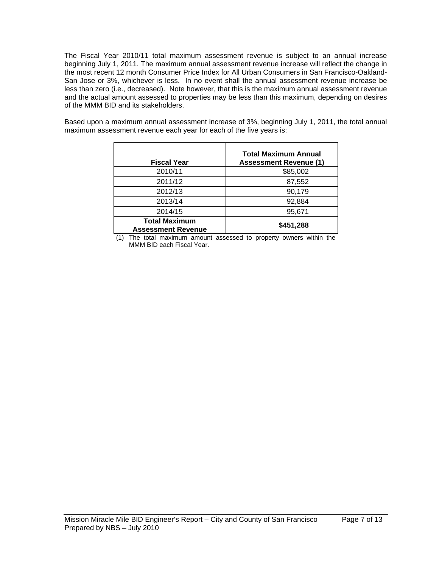The Fiscal Year 2010/11 total maximum assessment revenue is subject to an annual increase beginning July 1, 2011. The maximum annual assessment revenue increase will reflect the change in the most recent 12 month Consumer Price Index for All Urban Consumers in San Francisco-Oakland-San Jose or 3%, whichever is less. In no event shall the annual assessment revenue increase be less than zero (i.e., decreased). Note however, that this is the maximum annual assessment revenue and the actual amount assessed to properties may be less than this maximum, depending on desires of the MMM BID and its stakeholders.

Based upon a maximum annual assessment increase of 3%, beginning July 1, 2011, the total annual maximum assessment revenue each year for each of the five years is:

| <b>Fiscal Year</b>                                | <b>Total Maximum Annual</b><br><b>Assessment Revenue (1)</b> |
|---------------------------------------------------|--------------------------------------------------------------|
| 2010/11                                           | \$85,002                                                     |
| 2011/12                                           | 87,552                                                       |
| 2012/13                                           | 90,179                                                       |
| 2013/14                                           | 92,884                                                       |
| 2014/15                                           | 95,671                                                       |
| <b>Total Maximum</b><br><b>Assessment Revenue</b> | \$451,288                                                    |

(1) The total maximum amount assessed to property owners within the MMM BID each Fiscal Year.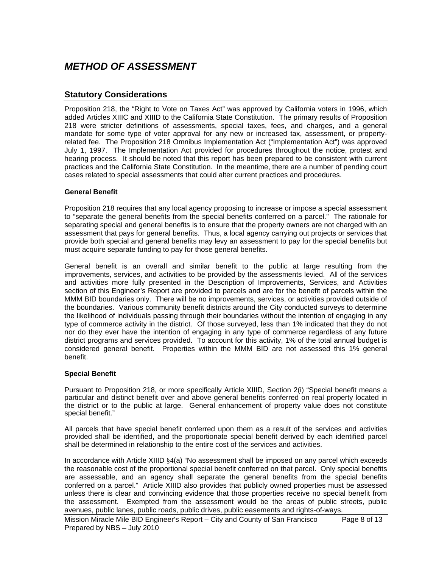# *METHOD OF ASSESSMENT*

### **Statutory Considerations**

Proposition 218, the "Right to Vote on Taxes Act" was approved by California voters in 1996, which added Articles XIIIC and XIIID to the California State Constitution. The primary results of Proposition 218 were stricter definitions of assessments, special taxes, fees, and charges, and a general mandate for some type of voter approval for any new or increased tax, assessment, or propertyrelated fee. The Proposition 218 Omnibus Implementation Act ("Implementation Act") was approved July 1, 1997. The Implementation Act provided for procedures throughout the notice, protest and hearing process. It should be noted that this report has been prepared to be consistent with current practices and the California State Constitution. In the meantime, there are a number of pending court cases related to special assessments that could alter current practices and procedures.

#### **General Benefit**

Proposition 218 requires that any local agency proposing to increase or impose a special assessment to "separate the general benefits from the special benefits conferred on a parcel." The rationale for separating special and general benefits is to ensure that the property owners are not charged with an assessment that pays for general benefits. Thus, a local agency carrying out projects or services that provide both special and general benefits may levy an assessment to pay for the special benefits but must acquire separate funding to pay for those general benefits.

General benefit is an overall and similar benefit to the public at large resulting from the improvements, services, and activities to be provided by the assessments levied. All of the services and activities more fully presented in the Description of Improvements, Services, and Activities section of this Engineer's Report are provided to parcels and are for the benefit of parcels within the MMM BID boundaries only. There will be no improvements, services, or activities provided outside of the boundaries. Various community benefit districts around the City conducted surveys to determine the likelihood of individuals passing through their boundaries without the intention of engaging in any type of commerce activity in the district. Of those surveyed, less than 1% indicated that they do not nor do they ever have the intention of engaging in any type of commerce regardless of any future district programs and services provided. To account for this activity, 1% of the total annual budget is considered general benefit. Properties within the MMM BID are not assessed this 1% general benefit.

#### **Special Benefit**

Pursuant to Proposition 218, or more specifically Article XIIID, Section 2(i) "Special benefit means a particular and distinct benefit over and above general benefits conferred on real property located in the district or to the public at large. General enhancement of property value does not constitute special benefit."

All parcels that have special benefit conferred upon them as a result of the services and activities provided shall be identified, and the proportionate special benefit derived by each identified parcel shall be determined in relationship to the entire cost of the services and activities.

In accordance with Article XIIID §4(a) "No assessment shall be imposed on any parcel which exceeds the reasonable cost of the proportional special benefit conferred on that parcel. Only special benefits are assessable, and an agency shall separate the general benefits from the special benefits conferred on a parcel." Article XIIID also provides that publicly owned properties must be assessed unless there is clear and convincing evidence that those properties receive no special benefit from the assessment. Exempted from the assessment would be the areas of public streets, public avenues, public lanes, public roads, public drives, public easements and rights-of-ways.

Mission Miracle Mile BID Engineer's Report – City and County of San Francisco Page 8 of 13 Prepared by NBS – July 2010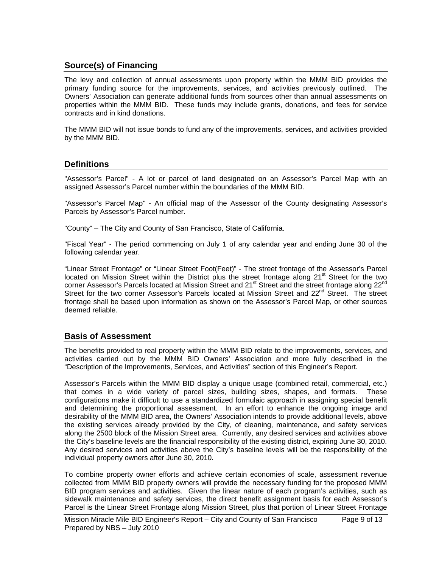## **Source(s) of Financing**

The levy and collection of annual assessments upon property within the MMM BID provides the primary funding source for the improvements, services, and activities previously outlined. The Owners' Association can generate additional funds from sources other than annual assessments on properties within the MMM BID. These funds may include grants, donations, and fees for service contracts and in kind donations.

The MMM BID will not issue bonds to fund any of the improvements, services, and activities provided by the MMM BID.

### **Definitions**

"Assessor's Parcel" - A lot or parcel of land designated on an Assessor's Parcel Map with an assigned Assessor's Parcel number within the boundaries of the MMM BID.

"Assessor's Parcel Map" - An official map of the Assessor of the County designating Assessor's Parcels by Assessor's Parcel number.

"County" – The City and County of San Francisco, State of California.

"Fiscal Year" - The period commencing on July 1 of any calendar year and ending June 30 of the following calendar year.

"Linear Street Frontage" or "Linear Street Foot(Feet)" - The street frontage of the Assessor's Parcel located on Mission Street within the District plus the street frontage along 21<sup>st</sup> Street for the two corner Assessor's Parcels located at Mission Street and 21<sup>st</sup> Street and the street frontage along 22<sup>nd</sup> Street for the two corner Assessor's Parcels located at Mission Street and 22<sup>nd</sup> Street. The street frontage shall be based upon information as shown on the Assessor's Parcel Map, or other sources deemed reliable.

#### **Basis of Assessment**

The benefits provided to real property within the MMM BID relate to the improvements, services, and activities carried out by the MMM BID Owners' Association and more fully described in the "Description of the Improvements, Services, and Activities" section of this Engineer's Report.

Assessor's Parcels within the MMM BID display a unique usage (combined retail, commercial, etc.) that comes in a wide variety of parcel sizes, building sizes, shapes, and formats. These configurations make it difficult to use a standardized formulaic approach in assigning special benefit and determining the proportional assessment. In an effort to enhance the ongoing image and desirability of the MMM BID area, the Owners' Association intends to provide additional levels, above the existing services already provided by the City, of cleaning, maintenance, and safety services along the 2500 block of the Mission Street area. Currently, any desired services and activities above the City's baseline levels are the financial responsibility of the existing district, expiring June 30, 2010. Any desired services and activities above the City's baseline levels will be the responsibility of the individual property owners after June 30, 2010.

To combine property owner efforts and achieve certain economies of scale, assessment revenue collected from MMM BID property owners will provide the necessary funding for the proposed MMM BID program services and activities. Given the linear nature of each program's activities, such as sidewalk maintenance and safety services, the direct benefit assignment basis for each Assessor's Parcel is the Linear Street Frontage along Mission Street, plus that portion of Linear Street Frontage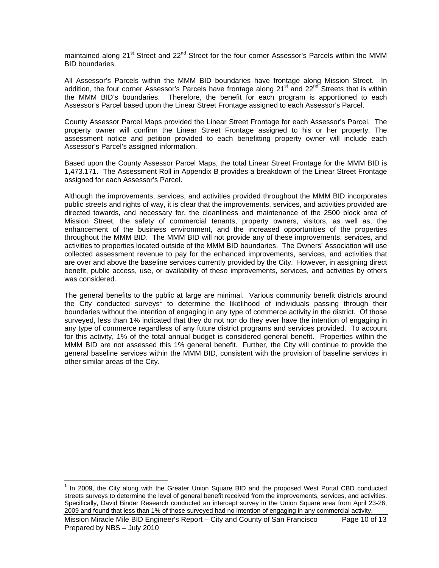maintained along 21<sup>st</sup> Street and 22<sup>nd</sup> Street for the four corner Assessor's Parcels within the MMM BID boundaries.

All Assessor's Parcels within the MMM BID boundaries have frontage along Mission Street. In addition, the four corner Assessor's Parcels have frontage along  $21<sup>st</sup>$  and  $22<sup>nd</sup>$  Streets that is within the MMM BID's boundaries. Therefore, the benefit for each program is apportioned to each Assessor's Parcel based upon the Linear Street Frontage assigned to each Assessor's Parcel.

County Assessor Parcel Maps provided the Linear Street Frontage for each Assessor's Parcel. The property owner will confirm the Linear Street Frontage assigned to his or her property. The assessment notice and petition provided to each benefitting property owner will include each Assessor's Parcel's assigned information.

Based upon the County Assessor Parcel Maps, the total Linear Street Frontage for the MMM BID is 1,473.171. The Assessment Roll in Appendix B provides a breakdown of the Linear Street Frontage assigned for each Assessor's Parcel.

Although the improvements, services, and activities provided throughout the MMM BID incorporates public streets and rights of way, it is clear that the improvements, services, and activities provided are directed towards, and necessary for, the cleanliness and maintenance of the 2500 block area of Mission Street, the safety of commercial tenants, property owners, visitors, as well as, the enhancement of the business environment, and the increased opportunities of the properties throughout the MMM BID. The MMM BID will not provide any of these improvements, services, and activities to properties located outside of the MMM BID boundaries. The Owners' Association will use collected assessment revenue to pay for the enhanced improvements, services, and activities that are over and above the baseline services currently provided by the City. However, in assigning direct benefit, public access, use, or availability of these improvements, services, and activities by others was considered.

The general benefits to the public at large are minimal. Various community benefit districts around the City conducted surveys<sup>1</sup> to determine the likelihood of individuals passing through their boundaries without the intention of engaging in any type of commerce activity in the district. Of those surveyed, less than 1% indicated that they do not nor do they ever have the intention of engaging in any type of commerce regardless of any future district programs and services provided. To account for this activity, 1% of the total annual budget is considered general benefit. Properties within the MMM BID are not assessed this 1% general benefit. Further, the City will continue to provide the general baseline services within the MMM BID, consistent with the provision of baseline services in other similar areas of the City.

Mission Miracle Mile BID Engineer's Report – City and County of San Francisco Page 10 of 13 Prepared by NBS – July 2010  $\overline{a}$  $1$  In 2009, the City along with the Greater Union Square BID and the proposed West Portal CBD conducted streets surveys to determine the level of general benefit received from the improvements, services, and activities. Specifically, David Binder Research conducted an intercept survey in the Union Square area from April 23-26, 2009 and found that less than 1% of those surveyed had no intention of engaging in any commercial activity.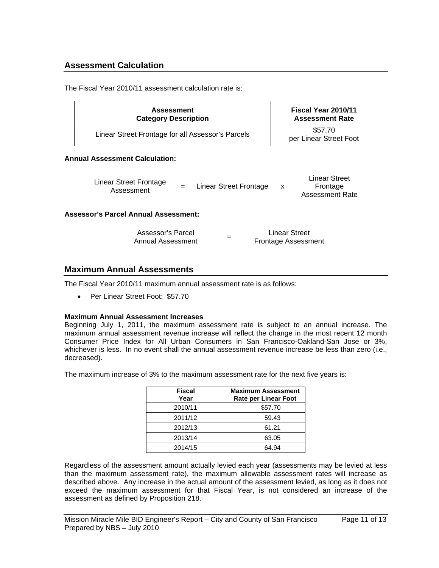## **Assessment Calculation**

The Fiscal Year 2010/11 assessment calculation rate is:

|                                       | <b>Assessment</b><br><b>Category Description</b>  |                               | Fiscal Year 2010/11<br><b>Assessment Rate</b> |                                                     |  |  |
|---------------------------------------|---------------------------------------------------|-------------------------------|-----------------------------------------------|-----------------------------------------------------|--|--|
|                                       | Linear Street Frontage for all Assessor's Parcels |                               | \$57.70<br>per Linear Street Foot             |                                                     |  |  |
| <b>Annual Assessment Calculation:</b> |                                                   |                               |                                               |                                                     |  |  |
|                                       | Linear Street Frontage<br>Assessment              | Linear Street Frontage<br>$=$ | $\mathsf{x}$                                  | Linear Street<br>Frontage<br><b>Assessment Rate</b> |  |  |

#### **Assessor's Parcel Annual Assessment:**

| Assessor's Parcel | <b>Linear Street</b>       |  |
|-------------------|----------------------------|--|
| Annual Assessment | <b>Frontage Assessment</b> |  |

### **Maximum Annual Assessments**

The Fiscal Year 2010/11 maximum annual assessment rate is as follows:

• Per Linear Street Foot: \$57.70

#### **Maximum Annual Assessment Increases**

Beginning July 1, 2011, the maximum assessment rate is subject to an annual increase. The maximum annual assessment revenue increase will reflect the change in the most recent 12 month Consumer Price Index for All Urban Consumers in San Francisco-Oakland-San Jose or 3%, whichever is less. In no event shall the annual assessment revenue increase be less than zero (i.e., decreased).

The maximum increase of 3% to the maximum assessment rate for the next five years is:

| Fiscal<br>Year | <b>Maximum Assessment</b><br><b>Rate per Linear Foot</b> |
|----------------|----------------------------------------------------------|
| 2010/11        | \$57.70                                                  |
| 2011/12        | 59.43                                                    |
| 2012/13        | 61.21                                                    |
| 2013/14        | 63.05                                                    |
| 2014/15        | 64.94                                                    |

Regardless of the assessment amount actually levied each year (assessments may be levied at less than the maximum assessment rate), the maximum allowable assessment rates will increase as described above. Any increase in the actual amount of the assessment levied, as long as it does not exceed the maximum assessment for that Fiscal Year, is not considered an increase of the assessment as defined by Proposition 218.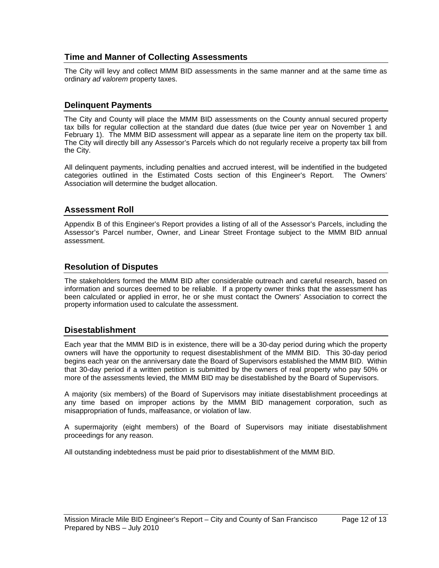## **Time and Manner of Collecting Assessments**

The City will levy and collect MMM BID assessments in the same manner and at the same time as ordinary *ad valorem* property taxes.

#### **Delinquent Payments**

The City and County will place the MMM BID assessments on the County annual secured property tax bills for regular collection at the standard due dates (due twice per year on November 1 and February 1). The MMM BID assessment will appear as a separate line item on the property tax bill. The City will directly bill any Assessor's Parcels which do not regularly receive a property tax bill from the City.

All delinquent payments, including penalties and accrued interest, will be indentified in the budgeted categories outlined in the Estimated Costs section of this Engineer's Report. The Owners' Association will determine the budget allocation.

#### **Assessment Roll**

Appendix B of this Engineer's Report provides a listing of all of the Assessor's Parcels, including the Assessor's Parcel number, Owner, and Linear Street Frontage subject to the MMM BID annual assessment.

### **Resolution of Disputes**

The stakeholders formed the MMM BID after considerable outreach and careful research, based on information and sources deemed to be reliable. If a property owner thinks that the assessment has been calculated or applied in error, he or she must contact the Owners' Association to correct the property information used to calculate the assessment.

#### **Disestablishment**

Each year that the MMM BID is in existence, there will be a 30-day period during which the property owners will have the opportunity to request disestablishment of the MMM BID. This 30-day period begins each year on the anniversary date the Board of Supervisors established the MMM BID. Within that 30-day period if a written petition is submitted by the owners of real property who pay 50% or more of the assessments levied, the MMM BID may be disestablished by the Board of Supervisors.

A majority (six members) of the Board of Supervisors may initiate disestablishment proceedings at any time based on improper actions by the MMM BID management corporation, such as misappropriation of funds, malfeasance, or violation of law.

A supermajority (eight members) of the Board of Supervisors may initiate disestablishment proceedings for any reason.

All outstanding indebtedness must be paid prior to disestablishment of the MMM BID.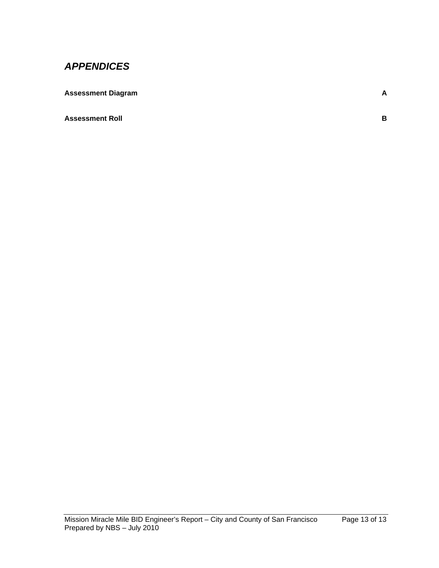# *APPENDICES*

| <b>Assessment Diagram</b> |  |
|---------------------------|--|
|                           |  |

**Assessment Roll** B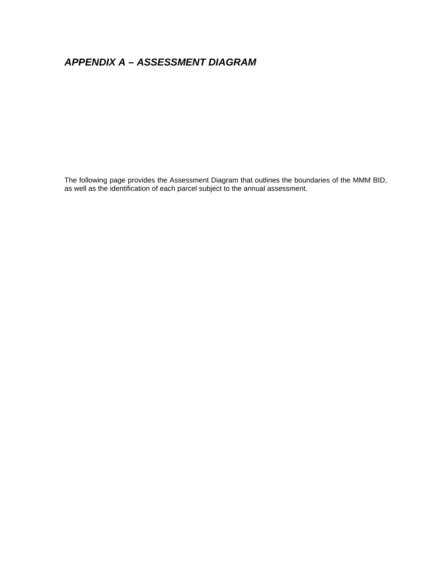# *APPENDIX A – ASSESSMENT DIAGRAM*

The following page provides the Assessment Diagram that outlines the boundaries of the MMM BID, as well as the identification of each parcel subject to the annual assessment.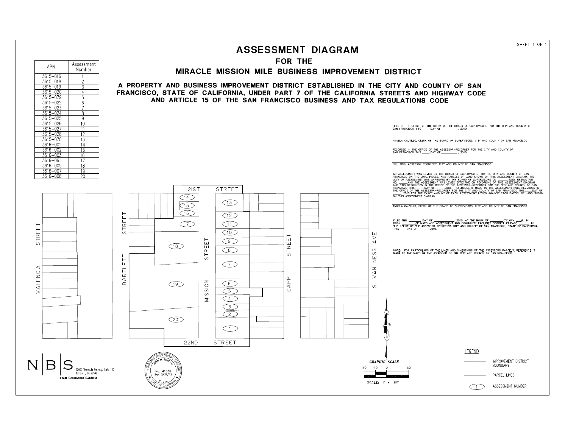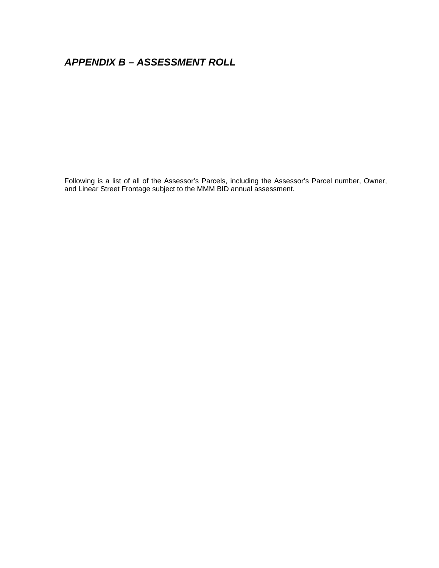# *APPENDIX B – ASSESSMENT ROLL*

Following is a list of all of the Assessor's Parcels, including the Assessor's Parcel number, Owner, and Linear Street Frontage subject to the MMM BID annual assessment.